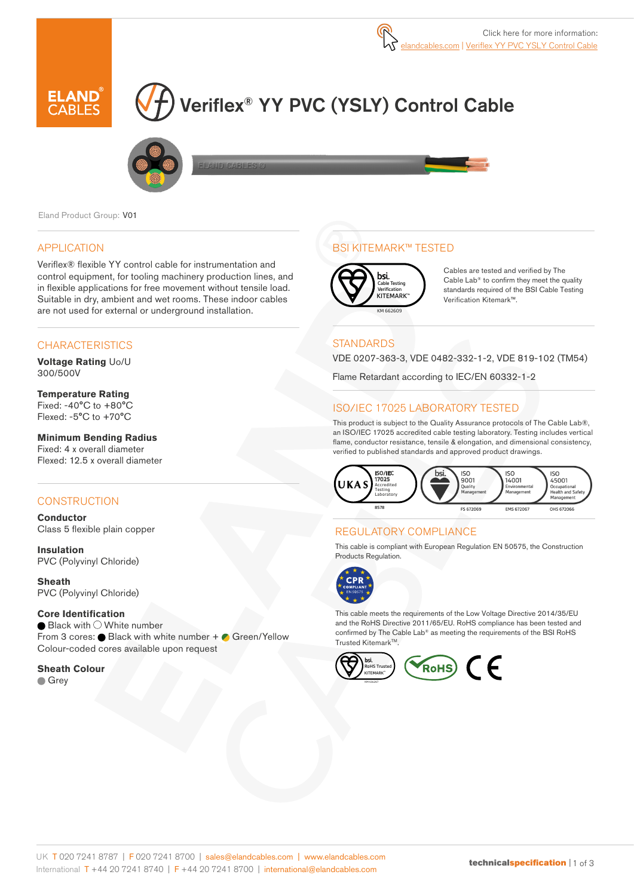

# Veriflex® YY PVC (YSLY) Control Cable



Eland Product Group: V01

### APPLICATION

Veriflex® flexible YY control cable for instrumentation and control equipment, for tooling machinery production lines, and in flexible applications for free movement without tensile load. Suitable in dry, ambient and wet rooms. These indoor cables are not used for external or underground installation.

## **CHARACTERISTICS**

**Voltage Rating** Uo/U 300/500V

### **Temperature Rating**

Fixed: -40°C to +80°C Flexed: -5°C to +70°C

#### **Minimum Bending Radius**

Fixed: 4 x overall diameter Flexed: 12.5 x overall diameter

## **CONSTRUCTION**

**Conductor** Class 5 flexible plain copper

**Insulation** PVC (Polyvinyl Chloride)

**Sheath** PVC (Polyvinyl Chloride)

## **Core Identification**

 $\bullet$  Black with  $\circlearrowright$  White number From 3 cores:  $\bullet$  Black with white number +  $\bullet$  Green/Yellow Colour-coded cores available upon request

**Sheath Colour**

**Grey** 

## BSI KITEMARK™ TESTED



Cables are tested and verified by The Cable Lab® to confirm they meet the quality standards required of the BSI Cable Testing Verification Kitemark™.

### **STANDARDS**

VDE 0207-363-3, VDE 0482-332-1-2, VDE 819-102 (TM54)

Flame Retardant according to IEC/EN 60332-1-2

## ISO/IEC 17025 LABORATORY TESTED

This product is subject to the Quality Assurance protocols of The Cable Lab®, an ISO/IEC 17025 accredited cable testing laboratory. Testing includes vertical flame, conductor resistance, tensile & elongation, and dimensional consistency, verified to published standards and approved product drawings.



## REGULATORY COMPLIANCE

This cable is compliant with European Regulation EN 50575, the Construction Products Regulation.



This cable meets the requirements of the Low Voltage Directive 2014/35/EU and the RoHS Directive 2011/65/EU. RoHS compliance has been tested and confirmed by The Cable Lab® as meeting the requirements of the BSI RoHS Trusted Kitemark<sup>™</sup>.

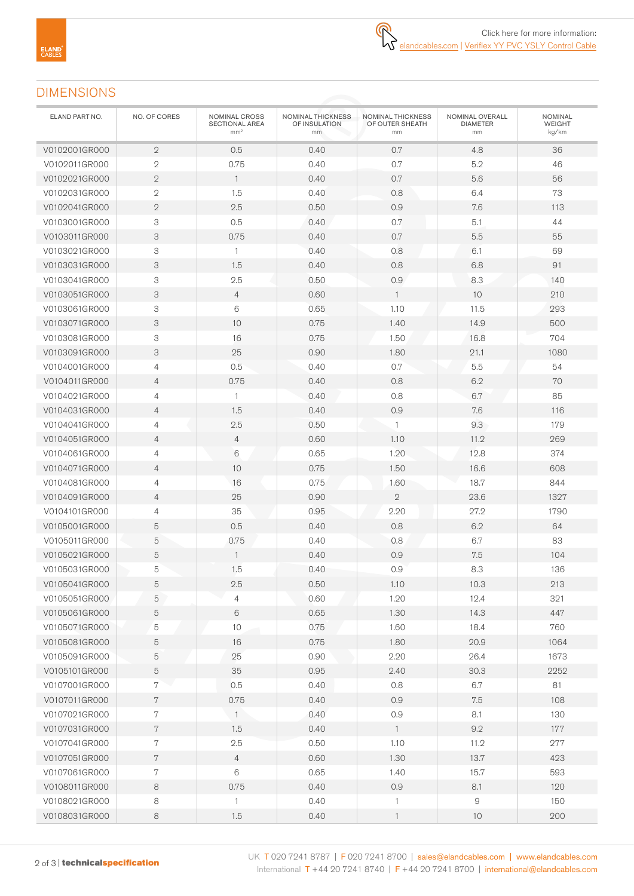## DIMENSIONS

| ELAND PART NO. | NO. OF CORES   | NOMINAL CROSS<br>SECTIONAL AREA<br>mm <sup>2</sup> | NOMINAL THICKNESS<br>OF INSULATION<br>mm | NOMINAL THICKNESS<br>OF OUTER SHEATH<br>mm | NOMINAL OVERALL<br><b>DIAMETER</b><br>mm | <b>NOMINAL</b><br>WEIGHT<br>kg/km |
|----------------|----------------|----------------------------------------------------|------------------------------------------|--------------------------------------------|------------------------------------------|-----------------------------------|
| V0102001GR000  | $\overline{2}$ | 0.5                                                | 0.40                                     | 0.7                                        | 4.8                                      | 36                                |
| V0102011GR000  | $\mathbf{2}$   | 0.75                                               | 0.40                                     | 0.7                                        | 5.2                                      | 46                                |
| V0102021GR000  | $\overline{2}$ | $\mathbf{1}$                                       | 0.40                                     | 0.7                                        | 5.6                                      | 56                                |
| V0102031GR000  | $\mathbf{2}$   | 1.5                                                | 0.40                                     | 0.8                                        | 6.4                                      | 73                                |
| V0102041GR000  | $\overline{2}$ | 2.5                                                | 0.50                                     | 0.9                                        | 7.6                                      | 113                               |
| V0103001GR000  | 3              | 0.5                                                | 0.40                                     | 0.7                                        | 5.1                                      | 44                                |
| V0103011GR000  | 3              | 0.75                                               | 0.40                                     | 0.7                                        | $5.5\,$                                  | 55                                |
| V0103021GR000  | 3              | $\mathbf{1}$                                       | 0.40                                     | 0.8                                        | 6.1                                      | 69                                |
| V0103031GR000  | 3              | 1.5                                                | 0.40                                     | 0.8                                        | 6.8                                      | 91                                |
| V0103041GR000  | 3              | 2.5                                                | 0.50                                     | 0.9                                        | 8.3                                      | 140                               |
| V0103051GR000  | 3              | $\overline{4}$                                     | 0.60                                     | $\mathbf{1}$                               | 10                                       | 210                               |
| V0103061GR000  | 3              | 6                                                  | 0.65                                     | 1.10                                       | 11.5                                     | 293                               |
| V0103071GR000  | 3              | 10                                                 | 0.75                                     | 1.40                                       | 14.9                                     | 500                               |
| V0103081GR000  | 3              | 16                                                 | 0.75                                     | 1.50                                       | 16.8                                     | 704                               |
| V0103091GR000  | 3              | 25                                                 | 0.90                                     | 1.80                                       | 21.1                                     | 1080                              |
| V0104001GR000  | $\overline{4}$ | 0.5                                                | 0.40                                     | 0.7                                        | 5.5                                      | 54                                |
| V0104011GR000  | $\overline{4}$ | 0.75                                               | 0.40                                     | 0.8                                        | 6.2                                      | 70                                |
| V0104021GR000  | 4              | $\mathbf{1}$                                       | 0.40                                     | 0.8                                        | 6.7                                      | 85                                |
| V0104031GR000  | $\overline{4}$ | 1.5                                                | 0.40                                     | 0.9                                        | 7.6                                      | 116                               |
| V0104041GR000  | 4              | 2.5                                                | 0.50                                     | $\mathbf{1}$                               | 9.3                                      | 179                               |
| V0104051GR000  | $\overline{4}$ | $\overline{4}$                                     | 0.60                                     | 1.10                                       | 11.2                                     | 269                               |
| V0104061GR000  | $\sqrt{4}$     | 6                                                  | 0.65                                     | 1.20                                       | 12.8                                     | 374                               |
| V0104071GR000  | $\overline{4}$ | 10                                                 | 0.75                                     | 1.50                                       | 16.6                                     | 608                               |
| V0104081GR000  | $\overline{4}$ | 16                                                 | 0.75                                     | 1.60                                       | 18.7                                     | 844                               |
| V0104091GR000  | $\overline{4}$ | 25                                                 | 0.90                                     | $\mathbf{2}$                               | 23.6                                     | 1327                              |
| V0104101GR000  | $\overline{4}$ | 35                                                 | 0.95                                     | 2.20                                       | 27.2                                     | 1790                              |
| V0105001GR000  | 5              | 0.5                                                | 0.40                                     | 0.8                                        | 6.2                                      | 64                                |
| V0105011GR000  | 5              | 0.75                                               | 0.40                                     | 0.8                                        | 6.7                                      | 83                                |
| V0105021GR000  | 5              | $\mathbf{1}$                                       | 0.40                                     | 0.9                                        | 7.5                                      | 104                               |
| V0105031GR000  | 5              | 1.5                                                | 0.40                                     | 0.9                                        | 8.3                                      | 136                               |
| V0105041GR000  | 5              | 2.5                                                | 0.50                                     | 1.10                                       | 10.3                                     | 213                               |
| V0105051GR000  | 5              | $\overline{4}$                                     | 0.60                                     | 1.20                                       | 12.4                                     | 321                               |
| V0105061GR000  | 5              | 6                                                  | 0.65                                     | 1.30                                       | 14.3                                     | 447                               |
| V0105071GR000  | 5              | $10$                                               | 0.75                                     | 1.60                                       | 18.4                                     | 760                               |
| V0105081GR000  | 5              | 16                                                 | 0.75                                     | 1.80                                       | 20.9                                     | 1064                              |
| V0105091GR000  | 5              | 25                                                 | 0.90                                     | 2.20                                       | 26.4                                     | 1673                              |
| V0105101GR000  | 5              | 35                                                 | 0.95                                     | 2.40                                       | 30.3                                     | 2252                              |
| V0107001GR000  | 7              | 0.5                                                | 0.40                                     | 0.8                                        | 6.7                                      | 81                                |
| V0107011GR000  | $7\phantom{.}$ | 0.75                                               | 0.40                                     | 0.9                                        | 7.5                                      | 108                               |
| V0107021GR000  | $\,7$          | $\overline{1}$                                     | 0.40                                     | 0.9                                        | 8.1                                      | 130                               |
| V0107031GR000  | $\,7$          | 1.5                                                | 0.40                                     | $\overline{1}$                             | $9.2\,$                                  | 177                               |
| V0107041GR000  | $7\phantom{.}$ | $2.5\,$                                            | 0.50                                     | 1.10                                       | 11.2                                     | 277                               |
| V0107051GR000  | $7\phantom{.}$ | $\overline{4}$                                     | 0.60                                     | 1.30                                       | 13.7                                     | 423                               |
| V0107061GR000  | $\,7$          | 6                                                  | 0.65                                     | 1.40                                       | 15.7                                     | 593                               |
| V0108011GR000  | $\,8\,$        | 0.75                                               | 0.40                                     | 0.9                                        | 8.1                                      | 120                               |
| V0108021GR000  | 8              | $\mathbf{1}$                                       | 0.40                                     | $\mathbf{1}$                               | $\mathcal{G}% _{0}$                      | 150                               |
| V0108031GR000  | 8              | 1.5                                                | 0.40                                     | $\mathbf{1}$                               | 10                                       | 200                               |